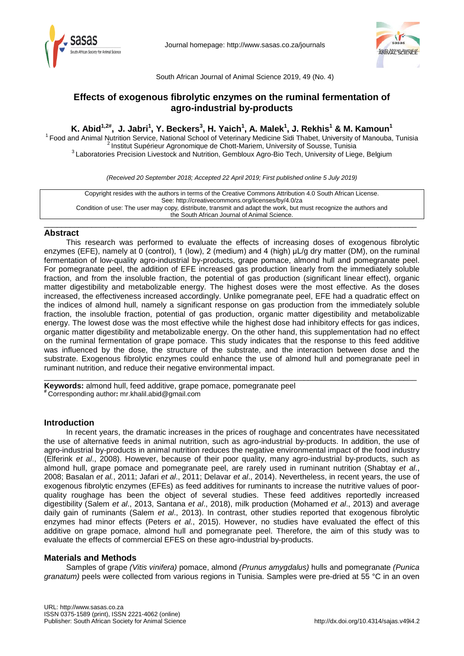



South African Journal of Animal Science 2019, 49 (No. 4)

## **Effects of exogenous fibrolytic enzymes on the ruminal fermentation of agro-industrial by-products**

# **K. Abid1,2#, J. Jabri<sup>1</sup> , Y. Beckers<sup>3</sup> , H. Yaich1 , A. Malek1 , J. Rekhis1 & M. Kamoun1**

<sup>1</sup> Food and Animal Nutrition Service, National School of Veterinary Medicine Sidi Thabet, University of Manouba, Tunisia<br><sup>2</sup> Institut Supérieur Agronomique de Chott-Mariem, University of Sousse, Tunisia<br><sup>3</sup> Laboratories

*(Received 20 September 2018; Accepted 22 April 2019; First published online 5 July 2019)*

Copyright resides with the authors in terms of the Creative Commons Attribution 4.0 South African License. See: http://creativecommons.org/licenses/by/4.0/za Condition of use: The user may copy, distribute, transmit and adapt the work, but must recognize the authors and the South African Journal of Animal Science.

\_\_\_\_\_\_\_\_\_\_\_\_\_\_\_\_\_\_\_\_\_\_\_\_\_\_\_\_\_\_\_\_\_\_\_\_\_\_\_\_\_\_\_\_\_\_\_\_\_\_\_\_\_\_\_\_\_\_\_\_\_\_\_\_\_\_\_\_\_\_\_\_\_\_\_\_\_\_\_\_\_\_\_\_\_\_

## **Abstract**

This research was performed to evaluate the effects of increasing doses of exogenous fibrolytic enzymes (EFE), namely at 0 (control), 1 (low), 2 (medium) and 4 (high) μL/g dry matter (DM), on the ruminal fermentation of low-quality agro-industrial by-products, grape pomace, almond hull and pomegranate peel. For pomegranate peel, the addition of EFE increased gas production linearly from the immediately soluble fraction, and from the insoluble fraction, the potential of gas production (significant linear effect), organic matter digestibility and metabolizable energy. The highest doses were the most effective. As the doses increased, the effectiveness increased accordingly. Unlike pomegranate peel, EFE had a quadratic effect on the indices of almond hull, namely a significant response on gas production from the immediately soluble fraction, the insoluble fraction, potential of gas production, organic matter digestibility and metabolizable energy. The lowest dose was the most effective while the highest dose had inhibitory effects for gas indices, organic matter digestibility and metabolizable energy. On the other hand, this supplementation had no effect on the ruminal fermentation of grape pomace. This study indicates that the response to this feed additive was influenced by the dose, the structure of the substrate, and the interaction between dose and the substrate. Exogenous fibrolytic enzymes could enhance the use of almond hull and pomegranate peel in ruminant nutrition, and reduce their negative environmental impact.

\_\_\_\_\_\_\_\_\_\_\_\_\_\_\_\_\_\_\_\_\_\_\_\_\_\_\_\_\_\_\_\_\_\_\_\_\_\_\_\_\_\_\_\_\_\_\_\_\_\_\_\_\_\_\_\_\_\_\_\_\_\_\_\_\_\_\_\_\_\_\_\_\_\_\_\_\_\_\_\_\_\_\_\_\_\_

**Keywords:** almond hull, feed additive, grape pomace, pomegranate peel **#** Corresponding author**:** mr.khalil.abid@gmail.com

## **Introduction**

In recent years, the dramatic increases in the prices of roughage and concentrates have necessitated the use of alternative feeds in animal nutrition, such as agro-industrial by-products. In addition, the use of agro-industrial by-products in animal nutrition reduces the negative environmental impact of the food industry (Elferink *et al*., 2008). However, because of their poor quality, many agro-industrial by-products, such as almond hull, grape pomace and pomegranate peel, are rarely used in ruminant nutrition (Shabtay *et al*., 2008; Basalan *et al.*, 2011; Jafari *et al*., 2011; Delavar *et al*., 2014). Nevertheless, in recent years, the use of exogenous fibrolytic enzymes (EFEs) as feed additives for ruminants to increase the nutritive values of poorquality roughage has been the object of several studies. These feed additives reportedly increased digestibility (Salem *et al*., 2013, Santana *et al*., 2018), milk production (Mohamed *et al*., 2013) and average daily gain of ruminants (Salem *et al*., 2013). In contrast, other studies reported that exogenous fibrolytic enzymes had minor effects (Peters *et al.*, 2015). However, no studies have evaluated the effect of this additive on grape pomace, almond hull and pomegranate peel. Therefore, the aim of this study was to evaluate the effects of commercial EFES on these agro-industrial by-products.

## **Materials and Methods**

Samples of grape *(Vitis vinifera)* pomace, almond *(Prunus amygdalus)* hulls and pomegranate *(Punica granatum)* peels were collected from various regions in Tunisia. Samples were pre-dried at 55 °C in an oven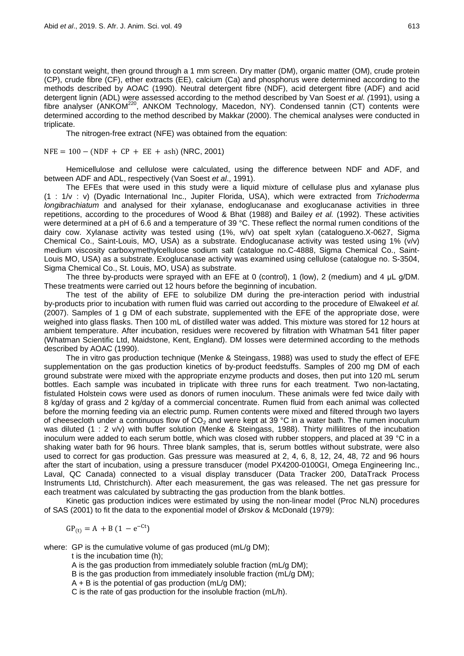to constant weight, then ground through a 1 mm screen. Dry matter (DM), organic matter (OM), crude protein (CP), crude fibre (CF), ether extracts (EE), calcium (Ca) and phosphorus were determined according to the methods described by AOAC (1990). Neutral detergent fibre (NDF), acid detergent fibre (ADF) and acid detergent lignin (ADL) were assessed according to the method described by Van Soest *et al. (*1991), using a fibre analyser (ANKOM<sup>220</sup>, ANKOM Technology, Macedon, NY). Condensed tannin (CT) contents were determined according to the method described by Makkar (2000). The chemical analyses were conducted in triplicate.

The nitrogen-free extract (NFE) was obtained from the equation:

 $NFE = 100 - (NDF + CP + EE + ash) (NRC, 2001)$ 

Hemicellulose and cellulose were calculated, using the difference between NDF and ADF, and between ADF and ADL, respectively (Van Soest *et al*., 1991).

The EFEs that were used in this study were a liquid mixture of cellulase plus and xylanase plus (1 : 1/v : v) (Dyadic International Inc., Jupiter Florida, USA), which were extracted from *Trichoderma longibrachiatum* and analysed for their xylanase, endoglucanase and exoglucanase activities in three repetitions, according to the procedures of Wood & Bhat (1988) and Bailey *et al.* (1992). These activities were determined at a pH of 6.6 and a temperature of 39 °C. These reflect the normal rumen conditions of the dairy cow. Xylanase activity was tested using (1%, w/v) oat spelt xylan (catalogueno.X-0627, Sigma Chemical Co., Saint-Louis, MO, USA) as a substrate. Endoglucanase activity was tested using 1% (v/v) medium viscosity carboxymethylcellulose sodium salt (catalogue no.C-4888, Sigma Chemical Co., Saint-Louis MO, USA) as a substrate. Exoglucanase activity was examined using cellulose (catalogue no. S-3504, Sigma Chemical Co., St. Louis, MO, USA) as substrate.

The three by-products were sprayed with an EFE at 0 (control), 1 (low), 2 (medium) and 4 μL g/DM. These treatments were carried out 12 hours before the beginning of incubation.

The test of the ability of EFE to solubilize DM during the pre-interaction period with industrial by-products prior to incubation with rumen fluid was carried out according to the procedure of Elwakeel *et al.* (2007). Samples of 1 g DM of each substrate, supplemented with the EFE of the appropriate dose, were weighed into glass flasks. Then 100 mL of distilled water was added. This mixture was stored for 12 hours at ambient temperature. After incubation, residues were recovered by filtration with Whatman 541 filter paper (Whatman Scientific Ltd, Maidstone, Kent, England). DM losses were determined according to the methods described by AOAC (1990).

The in vitro gas production technique (Menke & Steingass, 1988) was used to study the effect of EFE supplementation on the gas production kinetics of by-product feedstuffs. Samples of 200 mg DM of each ground substrate were mixed with the appropriate enzyme products and doses, then put into 120 mL serum bottles. Each sample was incubated in triplicate with three runs for each treatment. Two non-lactating, fistulated Holstein cows were used as donors of rumen inoculum. These animals were fed twice daily with 8 kg/day of grass and 2 kg/day of a commercial concentrate. Rumen fluid from each animal was collected before the morning feeding via an electric pump. Rumen contents were mixed and filtered through two layers of cheesecloth under a continuous flow of  $CO<sub>2</sub>$  and were kept at 39 °C in a water bath. The rumen inoculum was diluted (1 : 2 v/v) with buffer solution (Menke & Steingass, 1988). Thirty millilitres of the incubation inoculum were added to each serum bottle, which was closed with rubber stoppers, and placed at 39 °C in a shaking water bath for 96 hours. Three blank samples, that is, serum bottles without substrate, were also used to correct for gas production. Gas pressure was measured at 2, 4, 6, 8, 12, 24, 48, 72 and 96 hours after the start of incubation, using a pressure transducer (model PX4200-0100GI, Omega Engineering Inc., Laval, QC Canada) connected to a visual display transducer (Data Tracker 200, DataTrack Process Instruments Ltd, Christchurch). After each measurement, the gas was released. The net gas pressure for each treatment was calculated by subtracting the gas production from the blank bottles.

Kinetic gas production indices were estimated by using the non-linear model (Proc NLN) procedures of SAS (2001) to fit the data to the exponential model of Ørskov & McDonald (1979):

 $GP_{(t)} = A + B (1 - e^{-Ct})$ 

where: GP is the cumulative volume of gas produced (mL/g DM);

t is the incubation time (h);

A is the gas production from immediately soluble fraction (mL/g DM);

B is the gas production from immediately insoluble fraction (mL/g DM);

 $A + B$  is the potential of gas production (mL/g DM);

C is the rate of gas production for the insoluble fraction (mL/h).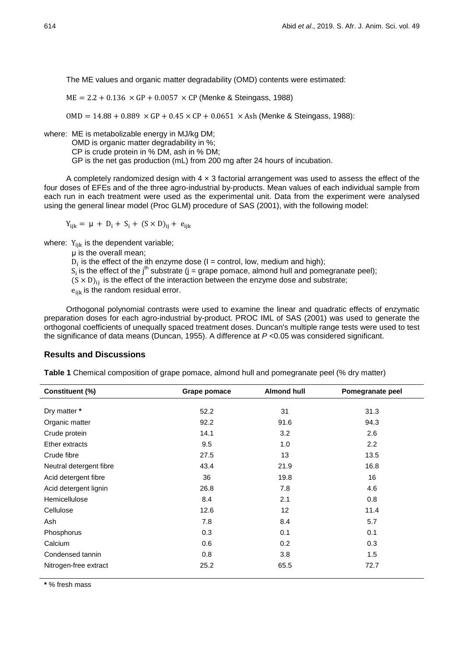The ME values and organic matter degradability (OMD) contents were estimated:

 $ME = 2.2 + 0.136 \times GP + 0.0057 \times CP$  (Menke & Steingass, 1988)

 $OMD = 14.88 + 0.889 \times GP + 0.45 \times CP + 0.0651 \times Ash$  (Menke & Steingass, 1988):

where: ME is metabolizable energy in MJ/kg DM;

OMD is organic matter degradability in %;

CP is crude protein in % DM, ash in % DM;

GP is the net gas production (mL) from 200 mg after 24 hours of incubation.

A completely randomized design with  $4 \times 3$  factorial arrangement was used to assess the effect of the four doses of EFEs and of the three agro-industrial by-products. Mean values of each individual sample from each run in each treatment were used as the experimental unit. Data from the experiment were analysed using the general linear model (Proc GLM) procedure of SAS (2001), with the following model:

 $Y_{ijk} = \mu + D_i + S_i + (S \times D)_{ij} + e_{ijk}$ 

where:  $Y_{iik}$  is the dependent variable;

μ is the overall mean;

 $D_i$  is the effect of the ith enzyme dose (I = control, low, medium and high);

 $S_i$  is the effect of the j<sup>th</sup> substrate (j = grape pomace, almond hull and pomegranate peel);

 $(S \times D)_{ii}$  is the effect of the interaction between the enzyme dose and substrate;

 $e_{ijk}$  is the random residual error.

Orthogonal polynomial contrasts were used to examine the linear and quadratic effects of enzymatic preparation doses for each agro-industrial by-product. PROC IML of SAS (2001) was used to generate the orthogonal coefficients of unequally spaced treatment doses. Duncan's multiple range tests were used to test the significance of data means (Duncan, 1955). A difference at *P* <0.05 was considered significant.

#### **Results and Discussions**

**Table 1** Chemical composition of grape pomace, almond hull and pomegranate peel (% dry matter)

| Constituent (%)         | Grape pomace | <b>Almond hull</b> | Pomegranate peel |  |
|-------------------------|--------------|--------------------|------------------|--|
|                         |              |                    |                  |  |
| Dry matter *            | 52.2         | 31                 | 31.3             |  |
| Organic matter          | 92.2         | 91.6               | 94.3             |  |
| Crude protein           | 14.1         | 3.2                | 2.6              |  |
| Ether extracts          | 9.5          | 1.0                | 2.2              |  |
| Crude fibre             | 27.5         | 13                 | 13.5             |  |
| Neutral detergent fibre | 43.4         | 21.9               | 16.8             |  |
| Acid detergent fibre    | 36           | 19.8               | 16               |  |
| Acid detergent lignin   | 26.8         | 7.8                | 4.6              |  |
| Hemicellulose           | 8.4          | 2.1                | 0.8              |  |
| Cellulose               | 12.6         | 12 <sup>2</sup>    | 11.4             |  |
| Ash                     | 7.8          | 8.4                | 5.7              |  |
| Phosphorus              | 0.3          | 0.1                | 0.1              |  |
| Calcium                 | 0.6          | 0.2                | 0.3              |  |
| Condensed tannin        | 0.8          | 3.8                | 1.5              |  |
| Nitrogen-free extract   | 25.2         | 65.5               | 72.7             |  |

**\*** % fresh mass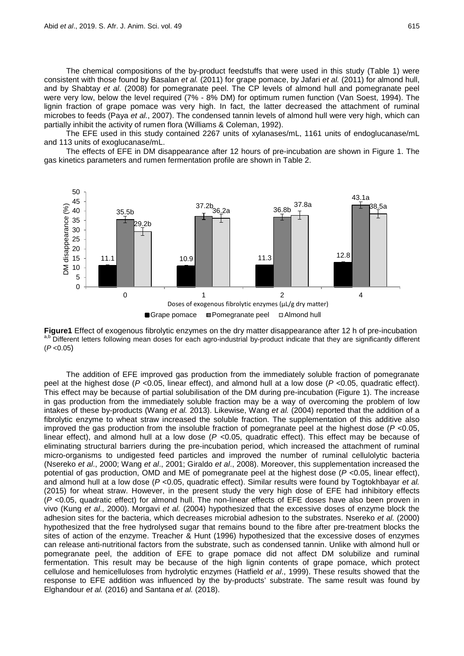The chemical compositions of the by-product feedstuffs that were used in this study (Table 1) were consistent with those found by Basalan *et al.* (2011) for grape pomace, by Jafari *et al.* (2011) for almond hull, and by Shabtay *et al.* (2008) for pomegranate peel. The CP levels of almond hull and pomegranate peel were very low, below the level required (7% - 8% DM) for optimum rumen function (Van Soest, 1994). The lignin fraction of grape pomace was very high. In fact, the latter decreased the attachment of ruminal microbes to feeds (Paya *et al.*, 2007). The condensed tannin levels of almond hull were very high, which can partially inhibit the activity of rumen flora (Williams & Coleman, 1992).

The EFE used in this study contained 2267 units of xylanases/mL, 1161 units of endoglucanase/mL and 113 units of exoglucanase/mL.

The effects of EFE in DM disappearance after 12 hours of pre-incubation are shown in Figure 1. The gas kinetics parameters and rumen fermentation profile are shown in Table 2.



**Figure1** Effect of exogenous fibrolytic enzymes on the dry matter disappearance after 12 h of pre-incubation a,b Different letters following mean doses for each agro-industrial by-product indicate that they are significantly different (*P* <0.05)

The addition of EFE improved gas production from the immediately soluble fraction of pomegranate peel at the highest dose (*P* <0.05, linear effect), and almond hull at a low dose (*P* <0.05, quadratic effect). This effect may be because of partial solubilisation of the DM during pre-incubation (Figure 1). The increase in gas production from the immediately soluble fraction may be a way of overcoming the problem of low intakes of these by-products (Wang *et al.* 2013). Likewise, Wang *et al.* (2004) reported that the addition of a fibrolytic enzyme to wheat straw increased the soluble fraction. The supplementation of this additive also improved the gas production from the insoluble fraction of pomegranate peel at the highest dose (*P* <0.05, linear effect), and almond hull at a low dose (*P* <0.05, quadratic effect). This effect may be because of eliminating structural barriers during the pre-incubation period, which increased the attachment of ruminal micro-organisms to undigested feed particles and improved the number of ruminal cellulolytic bacteria (Nsereko *et al*., 2000; Wang *et al*., 2001; Giraldo *et al*., 2008). Moreover, this supplementation increased the potential of gas production, OMD and ME of pomegranate peel at the highest dose (*P* <0.05, linear effect), and almond hull at a low dose (*P* <0.05, quadratic effect). Similar results were found by Togtokhbayar *et al.* (2015) for wheat straw. However, in the present study the very high dose of EFE had inhibitory effects (*P* <0.05, quadratic effect) for almond hull. The non-linear effects of EFE doses have also been proven in vivo (Kung *et al*., 2000). Morgavi *et al.* (2004) hypothesized that the excessive doses of enzyme block the adhesion sites for the bacteria, which decreases microbial adhesion to the substrates. Nsereko *et al.* (2000) hypothesized that the free hydrolysed sugar that remains bound to the fibre after pre-treatment blocks the sites of action of the enzyme. Treacher & Hunt (1996) hypothesized that the excessive doses of enzymes can release anti-nutritional factors from the substrate, such as condensed tannin. Unlike with almond hull or pomegranate peel, the addition of EFE to grape pomace did not affect DM solubilize and ruminal fermentation. This result may be because of the high lignin contents of grape pomace, which protect cellulose and hemicelluloses from hydrolytic enzymes (Hatfield *et al*., 1999). These results showed that the response to EFE addition was influenced by the by-products' substrate. The same result was found by Elghandour *et al.* (2016) and Santana *et al.* (2018).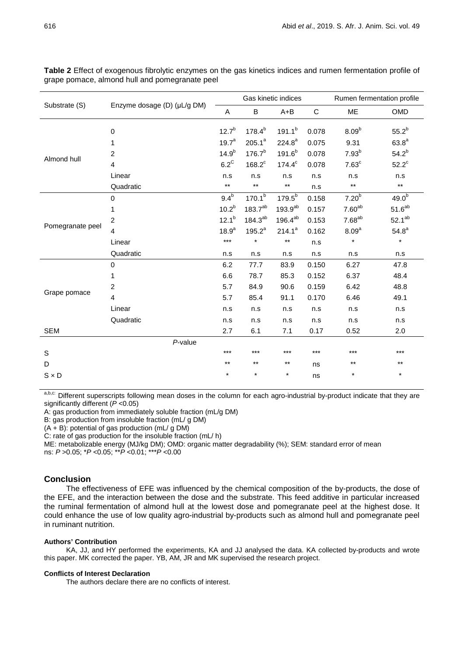| Substrate (S)    | Enzyme dosage (D) (µL/g DM) |                   | Gas kinetic indices |                     |             |                   | Rumen fermentation profile |  |
|------------------|-----------------------------|-------------------|---------------------|---------------------|-------------|-------------------|----------------------------|--|
|                  |                             | A                 | $\sf B$             | $A + B$             | $\mathsf C$ | ME                | <b>OMD</b>                 |  |
| Almond hull      | $\mathbf 0$                 | $12.7^{b}$        | $178.4^{b}$         | $191.1^{b}$         | 0.078       | 8.09 <sup>b</sup> | $55.2^{b}$                 |  |
|                  | 1                           | 19.7 <sup>a</sup> | $205.1^a$           | $224.8^a$           | 0.075       | 9.31              | 63.8 <sup>a</sup>          |  |
|                  | 2                           | $14.9^{b}$        | $176.7^{b}$         | $191.6^{b}$         | 0.078       | 7.93 <sup>b</sup> | $54.2^{b}$                 |  |
|                  | 4                           | $6.2^C$           | $168.2^c$           | $174.4^c$           | 0.078       | 7.63 <sup>c</sup> | $52.2^c$                   |  |
|                  | Linear                      | n.s               | n.s                 | n.s                 | n.s         | n.s               | n.s                        |  |
|                  | Quadratic                   | $***$             | $***$               | $***$               | n.s         | $\star\star$      | $^{\star\star}$            |  |
| Pomegranate peel | $\mathbf 0$                 | $9.4^b$           | $170.1^b$           | $179.5^{b}$         | 0.158       | 7.20 <sup>b</sup> | $49.0^{b}$                 |  |
|                  | 1                           | $10.2^{b}$        | $183.7^{ab}$        | 193.9 <sup>ab</sup> | 0.157       | $7.60^{ab}$       | $51.6^{ab}$                |  |
|                  | $\overline{c}$              | $12.1^{b}$        | $184.3^{ab}$        | $196.4^{ab}$        | 0.153       | $7.68^{ab}$       | $52.1^{ab}$                |  |
|                  | 4                           | 18.9 <sup>a</sup> | $195.2^a$           | $214.1^a$           | 0.162       | 8.09 <sup>a</sup> | $54.8^{\circ}$             |  |
|                  | Linear                      | $***$             | $\star$             | $***$               | n.s         | $\star$           | $\star$                    |  |
|                  | Quadratic                   | n.s               | n.s                 | n.s                 | n.s         | n.s               | n.s                        |  |
| Grape pomace     | $\mathbf 0$                 | 6.2               | 77.7                | 83.9                | 0.150       | 6.27              | 47.8                       |  |
|                  | 1                           | 6.6               | 78.7                | 85.3                | 0.152       | 6.37              | 48.4                       |  |
|                  | $\overline{c}$              | 5.7               | 84.9                | 90.6                | 0.159       | 6.42              | 48.8                       |  |
|                  | $\overline{4}$              | 5.7               | 85.4                | 91.1                | 0.170       | 6.46              | 49.1                       |  |
|                  | Linear                      | n.s               | n.s                 | n.s                 | n.s         | n.s               | n.s                        |  |
|                  | Quadratic                   | n.s               | n.s                 | n.s                 | n.s         | n.s               | n.s                        |  |
| <b>SEM</b>       |                             | 2.7               | 6.1                 | 7.1                 | 0.17        | 0.52              | 2.0                        |  |
|                  | $P$ -value                  |                   |                     |                     |             |                   |                            |  |
| $\mathsf S$      |                             | ***               | $***$               | $***$               | $***$       | $***$             | $***$                      |  |
| D                |                             | $***$             | $***$               | $***$               | ns          | $***$             | $***$                      |  |
| $S \times D$     |                             | $\star$           | $\star$             | $^\star$            | ns          | $\star$           | $\star$                    |  |

**Table 2** Effect of exogenous fibrolytic enzymes on the gas kinetics indices and rumen fermentation profile of grape pomace, almond hull and pomegranate peel

a,b,c: Different superscripts following mean doses in the column for each agro-industrial by-product indicate that they are significantly different (*P* <0.05)

A: gas production from immediately soluble fraction (mL/g DM)

B: gas production from insoluble fraction (mL/ g DM)

 $(A + B)$ : potential of gas production (mL/ g DM)

C: rate of gas production for the insoluble fraction (mL/ h)

ME: metabolizable energy (MJ/kg DM); OMD: organic matter degradability (%); SEM: standard error of mean

ns: *P* >0.05; \**P* <0.05; \*\**P* <0.01; \*\*\**P* <0.00

#### **Conclusion**

The effectiveness of EFE was influenced by the chemical composition of the by-products, the dose of the EFE, and the interaction between the dose and the substrate. This feed additive in particular increased the ruminal fermentation of almond hull at the lowest dose and pomegranate peel at the highest dose. It could enhance the use of low quality agro-industrial by-products such as almond hull and pomegranate peel in ruminant nutrition.

#### **Authors' Contribution**

KA, JJ, and HY performed the experiments, KA and JJ analysed the data. KA collected by-products and wrote this paper. MK corrected the paper. YB, AM, JR and MK supervised the research project.

#### **Conflicts of Interest Declaration**

The authors declare there are no conflicts of interest.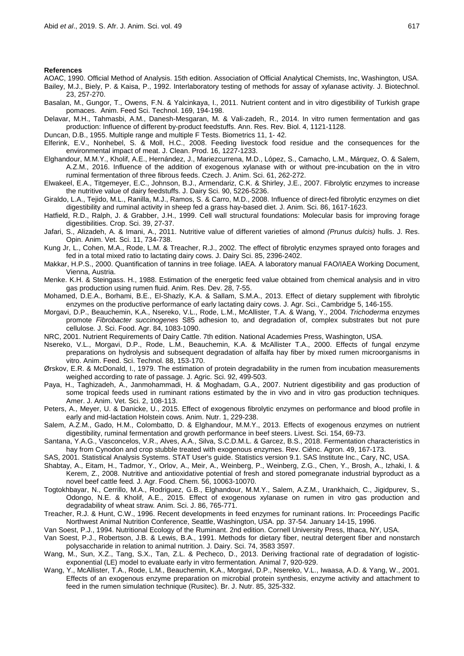**References**

AOAC, 1990. Official Method of Analysis. 15th edition. Association of Official Analytical Chemists, Inc, Washington, USA.

- Bailey, M.J., Biely, P. & Kaisa, P., 1992. Interlaboratory testing of methods for assay of xylanase activity. J. Biotechnol. 23, 257-270.
- Basalan, M., Gungor, T., Owens, F.N. & Yalcinkaya, I., 2011. Nutrient content and in vitro digestibility of Turkish grape pomaces. Anim. Feed Sci. Technol. 169, 194-198.
- Delavar, M.H., Tahmasbi, A.M., Danesh-Mesgaran, M. & Vali-zadeh, R., 2014. In vitro rumen fermentation and gas production: Influence of different by-product feedstuffs. Ann. Res. Rev. Biol. 4, 1121-1128.
- Duncan, D.B., 1955. Multiple range and multiple F Tests. Biometrics 11, 1- 42.
- Elferink, E.V., Nonhebel, S. & Moll, H.C., 2008. Feeding livestock food residue and the consequences for the environmental impact of meat. J. Clean. Prod. 16, 1227-1233.
- Elghandour, M.M.Y., Kholif, A.E., Hernández, J., Mariezcurrena, M.D., López, S., Camacho, L.M., Márquez, O. & Salem, A.Z.M., 2016. Influence of the addition of exogenous xylanase with or without pre-incubation on the in vitro ruminal fermentation of three fibrous feeds. Czech. J. Anim. Sci. 61, 262-272.
- Elwakeel, E.A., Titgemeyer, E.C., Johnson, B.J., Armendariz, C.K. & Shirley, J.E., 2007. Fibrolytic enzymes to increase the nutritive value of dairy feedstuffs. J. Dairy Sci. 90, 5226-5236.
- Giraldo, L.A., Tejido, M.L., Ranilla, M.J., Ramos, S. & Carro, M.D., 2008. Influence of direct-fed fibrolytic enzymes on diet digestibility and ruminal activity in sheep fed a grass hay-based diet. J. Anim. Sci. 86, 1617-1623.
- Hatfield, R.D., Ralph, J. & Grabber, J.H., 1999. Cell wall structural foundations: Molecular basis for improving forage digestibilities. Crop. Sci. 39, 27-37.
- Jafari, S., Alizadeh, A. & Imani, A., 2011. Nutritive value of different varieties of almond *(Prunus dulcis)* hulls. J. Res. Opin. Anim. Vet. Sci. 11, 734-738.
- Kung Jr, L., Cohen, M.A., Rode, L.M. & Treacher, R.J., 2002. The effect of fibrolytic enzymes sprayed onto forages and fed in a total mixed ratio to lactating dairy cows. J. Dairy Sci. 85, 2396-2402.
- Makkar, H.P.S., 2000. Quantification of tannins in tree foliage. IAEA. A laboratory manual FAO/IAEA Working Document, Vienna, Austria.
- Menke. K.H. & Steingass. H., 1988. Estimation of the energetic feed value obtained from chemical analysis and in vitro gas production using rumen fluid. Anim. Res. Dev. 28, 7-55.
- Mohamed, D.E.A., Borhami, B.E., El-Shazly, K.A. & Sallam, S.M.A., 2013. Effect of dietary supplement with fibrolytic enzymes on the productive performance of early lactating dairy cows. J. Agr. Sci., Cambridge 5, 146-155.
- Morgavi, D.P., Beauchemin, K.A., Nsereko, V.L., Rode, L.M., McAllister, T.A. & Wang, Y., 2004. *Trichoderma* enzymes promote *Fibrobacter succinogenes* S85 adhesion to, and degradation of, complex substrates but not pure cellulose*.* J. Sci. Food. Agr. 84, 1083-1090.
- NRC, 2001. Nutrient Requirements of Dairy Cattle. 7th edition. National Academies Press, Washington, USA.
- Nsereko, V.L., Morgavi, D.P., Rode, L.M., Beauchemin, K.A. & McAllister T.A., 2000. Effects of fungal enzyme preparations on hydrolysis and subsequent degradation of alfalfa hay fiber by mixed rumen microorganisms in vitro. Anim. Feed. Sci. Technol. 88, 153-170.
- Ørskov, E.R. & McDonald, I., 1979. The estimation of protein degradability in the rumen from incubation measurements weighed according to rate of passage. J. Agric. Sci. 92, 499-503.
- Paya, H., Taghizadeh, A., Janmohammadi, H. & Moghadam, G.A., 2007. Nutrient digestibility and gas production of some tropical feeds used in ruminant rations estimated by the in vivo and in vitro gas production techniques. Amer. J. Anim. Vet. Sci. 2, 108-113.
- Peters, A., Meyer, U. & Danicke, U., 2015. Effect of exogenous fibrolytic enzymes on performance and blood profile in early and mid-lactation Holstein cows. Anim. Nutr. 1, 229-238.
- Salem, A.Z.M., Gado, H.M., Colombatto, D. & Elghandour, M.M.Y., 2013. Effects of exogenous enzymes on nutrient digestibility, ruminal fermentation and growth performance in beef steers. Livest. Sci. 154, 69-73.
- Santana, Y.A.G., Vasconcelos, V.R., Alves, A.A., Silva, S.C.D.M.L. & Garcez, B.S., 2018. Fermentation characteristics in hay from Cynodon and crop stubble treated with exogenous enzymes. Rev. Ciênc. Agron. 49, 167-173.
- SAS, 2001. Statistical Analysis Systems. STAT User's guide. Statistics version 9.1. SAS Institute Inc., Cary, NC, USA.
- Shabtay, A., Eitam, H., Tadmor, Y., Orlov, A., Meir, A., Weinberg, P., Weinberg, Z.G., Chen, Y., Brosh, A., Izhaki, I. & Kerem, Z., 2008. Nutritive and antioxidative potential of fresh and stored pomegranate industrial byproduct as a novel beef cattle feed*.* J. Agr. Food. Chem. 56, 10063-10070.
- Togtokhbayar, N., Cerrillo, M.A., Rodriguez, G.B., Elghandour, M.M.Y., Salem, A.Z.M., Urankhaich, C., Jigidpurev, S., Odongo, N.E. & Kholif, A.E., 2015. Effect of exogenous xylanase on rumen in vitro gas production and degradability of wheat straw*.* Anim. Sci. J. 86, 765-771.
- Treacher, R.J. & Hunt, C.W., 1996. Recent developments in feed enzymes for ruminant rations. In: Proceedings Pacific Northwest Animal Nutrition Conference, Seattle, Washington, USA. pp. 37-54. January 14-15, 1996.
- Van Soest, P.J., 1994. Nutritional Ecology of the Ruminant. 2nd edition. Cornell University Press, Ithaca, NY, USA.
- Van Soest, P.J., Robertson, J.B. & Lewis, B.A., 1991. Methods for dietary fiber, neutral detergent fiber and nonstarch polysaccharide in relation to animal nutrition. J. Dairy. Sci. 74, 3583 3597.
- Wang, M., Sun, X.Z., Tang, S.X., Tan, Z.L. & Pecheco, D., 2013. Deriving fractional rate of degradation of logisticexponential (LE) model to evaluate early in vitro fermentation*.* Animal 7, 920-929.
- Wang, Y., McAllister, T.A., Rode, L.M., Beauchemin, K.A., Morgavi, D.P., Nsereko, V.L., Iwaasa, A.D. & Yang, W., 2001. Effects of an exogenous enzyme preparation on microbial protein synthesis, enzyme activity and attachment to feed in the rumen simulation technique (Rusitec). Br. J. Nutr. 85, 325-332.